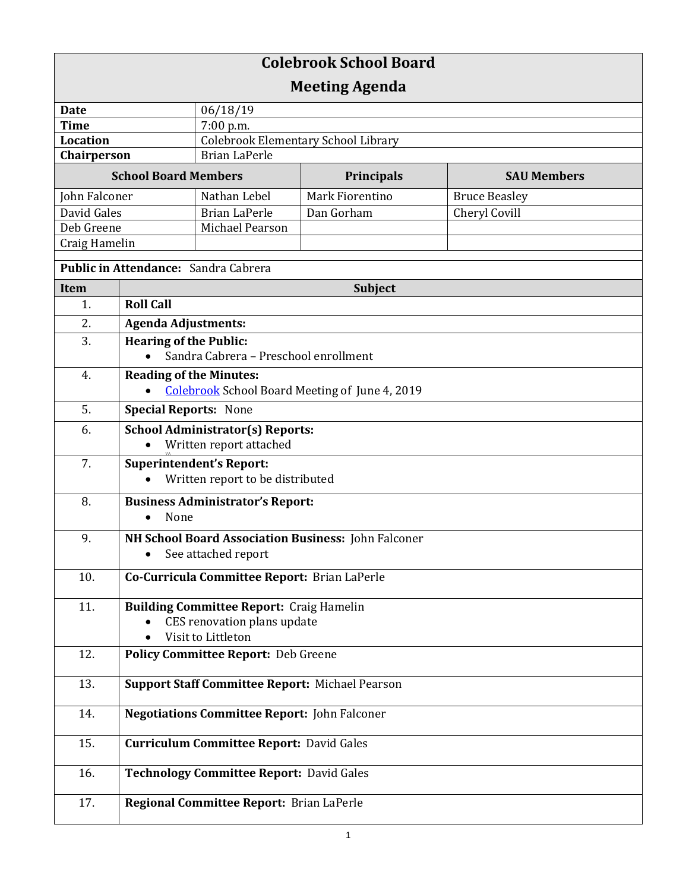| <b>Colebrook School Board</b>        |                                                        |                                                 |                                                       |                      |  |
|--------------------------------------|--------------------------------------------------------|-------------------------------------------------|-------------------------------------------------------|----------------------|--|
| <b>Meeting Agenda</b>                |                                                        |                                                 |                                                       |                      |  |
| <b>Date</b>                          |                                                        | 06/18/19                                        |                                                       |                      |  |
| <b>Time</b>                          |                                                        | $7:00$ p.m.                                     |                                                       |                      |  |
| <b>Location</b>                      |                                                        | <b>Colebrook Elementary School Library</b>      |                                                       |                      |  |
| Chairperson                          |                                                        | <b>Brian LaPerle</b>                            |                                                       |                      |  |
| <b>School Board Members</b>          |                                                        |                                                 | Principals                                            | <b>SAU Members</b>   |  |
| John Falconer                        |                                                        | Nathan Lebel                                    | Mark Fiorentino                                       | <b>Bruce Beasley</b> |  |
| David Gales                          |                                                        | <b>Brian LaPerle</b>                            | Dan Gorham                                            | Cheryl Covill        |  |
| Deb Greene                           |                                                        | Michael Pearson                                 |                                                       |                      |  |
| Craig Hamelin                        |                                                        |                                                 |                                                       |                      |  |
| Public in Attendance: Sandra Cabrera |                                                        |                                                 |                                                       |                      |  |
| <b>Item</b>                          | <b>Subject</b>                                         |                                                 |                                                       |                      |  |
| 1.                                   | <b>Roll Call</b>                                       |                                                 |                                                       |                      |  |
| 2.                                   | <b>Agenda Adjustments:</b>                             |                                                 |                                                       |                      |  |
| 3.                                   | <b>Hearing of the Public:</b>                          |                                                 |                                                       |                      |  |
|                                      |                                                        | Sandra Cabrera - Preschool enrollment           |                                                       |                      |  |
| 4.                                   | <b>Reading of the Minutes:</b>                         |                                                 |                                                       |                      |  |
|                                      |                                                        |                                                 | <b>Colebrook School Board Meeting of June 4, 2019</b> |                      |  |
| 5.                                   | <b>Special Reports: None</b>                           |                                                 |                                                       |                      |  |
| 6.                                   | <b>School Administrator(s) Reports:</b>                |                                                 |                                                       |                      |  |
|                                      | Written report attached                                |                                                 |                                                       |                      |  |
| 7.                                   | <b>Superintendent's Report:</b>                        |                                                 |                                                       |                      |  |
|                                      | Written report to be distributed                       |                                                 |                                                       |                      |  |
| 8.                                   |                                                        | <b>Business Administrator's Report:</b>         |                                                       |                      |  |
|                                      | None                                                   |                                                 |                                                       |                      |  |
| 9.                                   |                                                        |                                                 | NH School Board Association Business: John Falconer   |                      |  |
|                                      |                                                        | See attached report                             |                                                       |                      |  |
|                                      |                                                        |                                                 |                                                       |                      |  |
| 10.                                  |                                                        | Co-Curricula Committee Report: Brian LaPerle    |                                                       |                      |  |
| 11.                                  |                                                        | <b>Building Committee Report: Craig Hamelin</b> |                                                       |                      |  |
|                                      |                                                        | CES renovation plans update                     |                                                       |                      |  |
|                                      |                                                        | Visit to Littleton                              |                                                       |                      |  |
| 12.                                  |                                                        | <b>Policy Committee Report: Deb Greene</b>      |                                                       |                      |  |
| 13.                                  | <b>Support Staff Committee Report: Michael Pearson</b> |                                                 |                                                       |                      |  |
| 14.                                  | <b>Negotiations Committee Report: John Falconer</b>    |                                                 |                                                       |                      |  |
| 15.                                  | <b>Curriculum Committee Report: David Gales</b>        |                                                 |                                                       |                      |  |
| 16.                                  | <b>Technology Committee Report: David Gales</b>        |                                                 |                                                       |                      |  |
|                                      |                                                        |                                                 |                                                       |                      |  |
| 17.                                  |                                                        | Regional Committee Report: Brian LaPerle        |                                                       |                      |  |